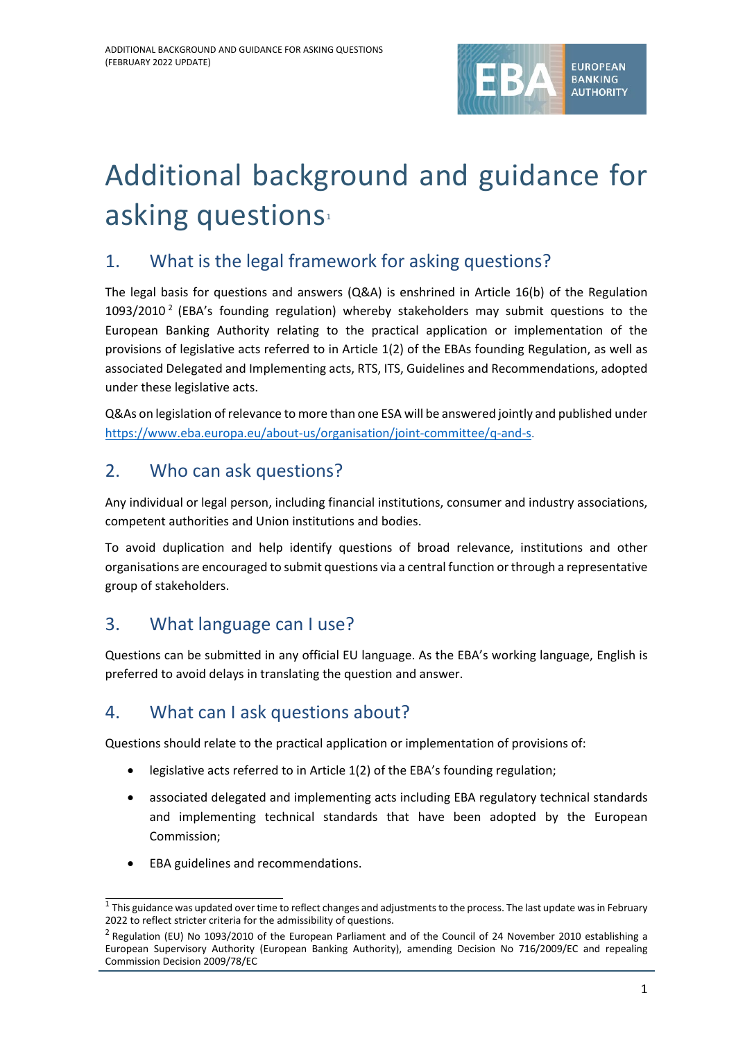

# Additional background and guidance for asking questions

# 1. What is the legal framework for asking questions?

The legal basis for questions and answers (Q&A) is enshrined in Article 16(b) of the Regulation  $1093/2010^2$  $1093/2010^2$  $1093/2010^2$  (EBA's founding regulation) whereby stakeholders may submit questions to the European Banking Authority relating to the practical application or implementation of the provisions of legislative acts referred to in Article 1(2) of the EBAs founding Regulation, as well as associated Delegated and Implementing acts, RTS, ITS, Guidelines and Recommendations, adopted under these legislative acts.

Q&As on legislation of relevance to more than one ESA will be answered jointly and published under [https://www.eba.europa.eu/about-us/organisation/joint-committee/q-and-s.](https://www.eba.europa.eu/about-us/organisation/joint-committee/q-and-s)

### 2. Who can ask questions?

Any individual or legal person, including financial institutions, consumer and industry associations, competent authorities and Union institutions and bodies.

To avoid duplication and help identify questions of broad relevance, institutions and other organisations are encouraged to submit questions via a central function or through a representative group of stakeholders.

### 3. What language can I use?

Questions can be submitted in any official EU language. As the EBA's working language, English is preferred to avoid delays in translating the question and answer.

### 4. What can I ask questions about?

Questions should relate to the practical application or implementation of provisions of:

- legislative acts referred to in Article 1(2) of the EBA's founding regulation;
- associated delegated and implementing acts including EBA regulatory technical standards and implementing technical standards that have been adopted by the European Commission;
- EBA guidelines and recommendations.

<span id="page-0-0"></span> $1$  This guidance was updated over time to reflect changes and adjustments to the process. The last update was in February 2022 to reflect stricter criteria for the admissibility of questions.

<span id="page-0-1"></span> $<sup>2</sup>$  Regulation (EU) No 1093/2010 of the European Parliament and of the Council of 24 November 2010 establishing a</sup> European Supervisory Authority (European Banking Authority), amending Decision No 716/2009/EC and repealing Commission Decision 2009/78/EC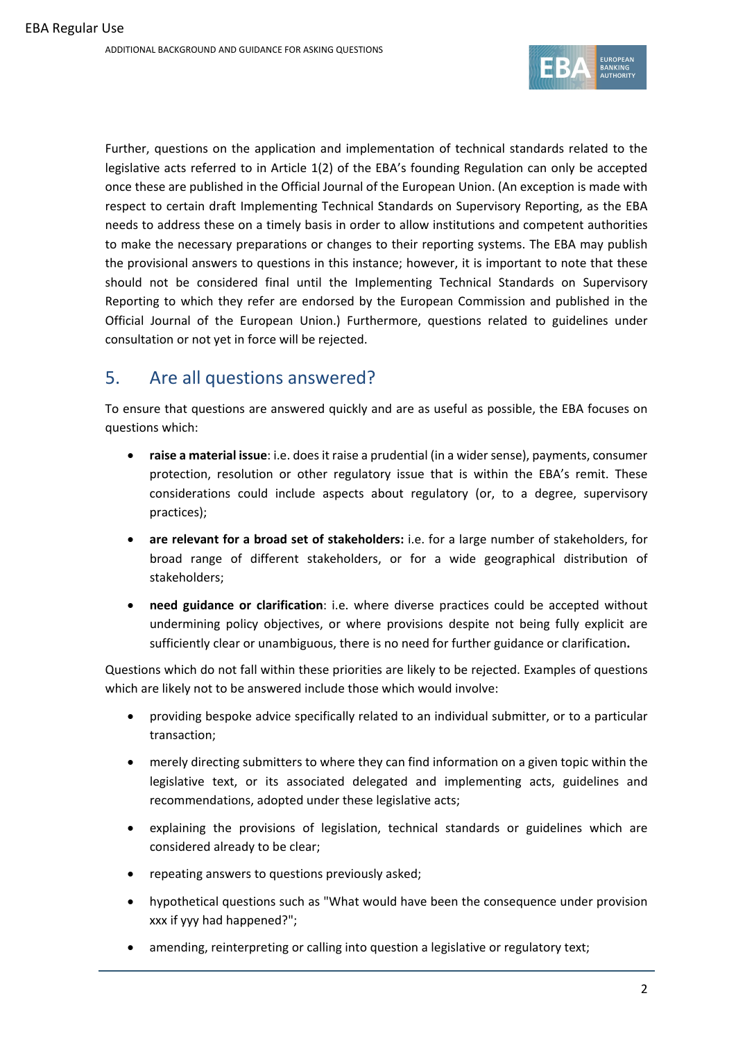

Further, questions on the application and implementation of technical standards related to the legislative acts referred to in Article 1(2) of the EBA's founding Regulation can only be accepted once these are published in the Official Journal of the European Union. (An exception is made with respect to certain draft Implementing Technical Standards on Supervisory Reporting, as the EBA needs to address these on a timely basis in order to allow institutions and competent authorities to make the necessary preparations or changes to their reporting systems. The EBA may publish the provisional answers to questions in this instance; however, it is important to note that these should not be considered final until the Implementing Technical Standards on Supervisory Reporting to which they refer are endorsed by the European Commission and published in the Official Journal of the European Union.) Furthermore, questions related to guidelines under consultation or not yet in force will be rejected.

# 5. Are all questions answered?

To ensure that questions are answered quickly and are as useful as possible, the EBA focuses on questions which:

- **raise a material issue**: i.e. does it raise a prudential (in a wider sense), payments, consumer protection, resolution or other regulatory issue that is within the EBA's remit. These considerations could include aspects about regulatory (or, to a degree, supervisory practices);
- **are relevant for a broad set of stakeholders:** i.e. for a large number of stakeholders, for broad range of different stakeholders, or for a wide geographical distribution of stakeholders;
- **need guidance or clarification**: i.e. where diverse practices could be accepted without undermining policy objectives, or where provisions despite not being fully explicit are sufficiently clear or unambiguous, there is no need for further guidance or clarification**.**

Questions which do not fall within these priorities are likely to be rejected. Examples of questions which are likely not to be answered include those which would involve:

- providing bespoke advice specifically related to an individual submitter, or to a particular transaction;
- merely directing submitters to where they can find information on a given topic within the legislative text, or its associated delegated and implementing acts, guidelines and recommendations, adopted under these legislative acts;
- explaining the provisions of legislation, technical standards or guidelines which are considered already to be clear;
- repeating answers to questions previously asked;
- hypothetical questions such as "What would have been the consequence under provision xxx if yyy had happened?";
- amending, reinterpreting or calling into question a legislative or regulatory text;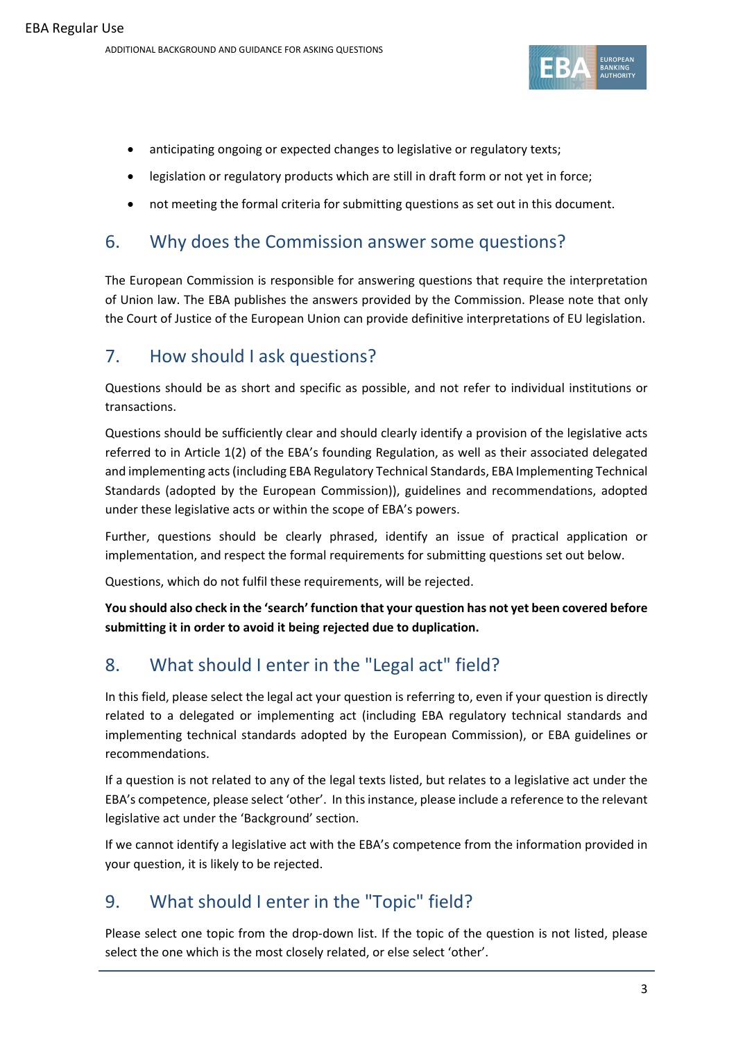

- anticipating ongoing or expected changes to legislative or regulatory texts;
- legislation or regulatory products which are still in draft form or not yet in force;
- not meeting the formal criteria for submitting questions as set out in this document.

#### 6. Why does the Commission answer some questions?

The European Commission is responsible for answering questions that require the interpretation of Union law. The EBA publishes the answers provided by the Commission. Please note that only the Court of Justice of the European Union can provide definitive interpretations of EU legislation.

### 7. How should I ask questions?

Questions should be as short and specific as possible, and not refer to individual institutions or transactions.

Questions should be sufficiently clear and should clearly identify a provision of the legislative acts referred to in Article 1(2) of the EBA's founding Regulation, as well as their associated delegated and implementing acts (including EBA Regulatory Technical Standards, EBA Implementing Technical Standards (adopted by the European Commission)), guidelines and recommendations, adopted under these legislative acts or within the scope of EBA's powers.

Further, questions should be clearly phrased, identify an issue of practical application or implementation, and respect the formal requirements for submitting questions set out below.

Questions, which do not fulfil these requirements, will be rejected.

**You should also check in the 'search' function that your question has not yet been covered before submitting it in order to avoid it being rejected due to duplication.**

# 8. What should I enter in the "Legal act" field?

In this field, please select the legal act your question is referring to, even if your question is directly related to a delegated or implementing act (including EBA regulatory technical standards and implementing technical standards adopted by the European Commission), or EBA guidelines or recommendations.

If a question is not related to any of the legal texts listed, but relates to a legislative act under the EBA's competence, please select 'other'. In this instance, please include a reference to the relevant legislative act under the 'Background' section.

If we cannot identify a legislative act with the EBA's competence from the information provided in your question, it is likely to be rejected.

### 9. What should I enter in the "Topic" field?

Please select one topic from the drop-down list. If the topic of the question is not listed, please select the one which is the most closely related, or else select 'other'.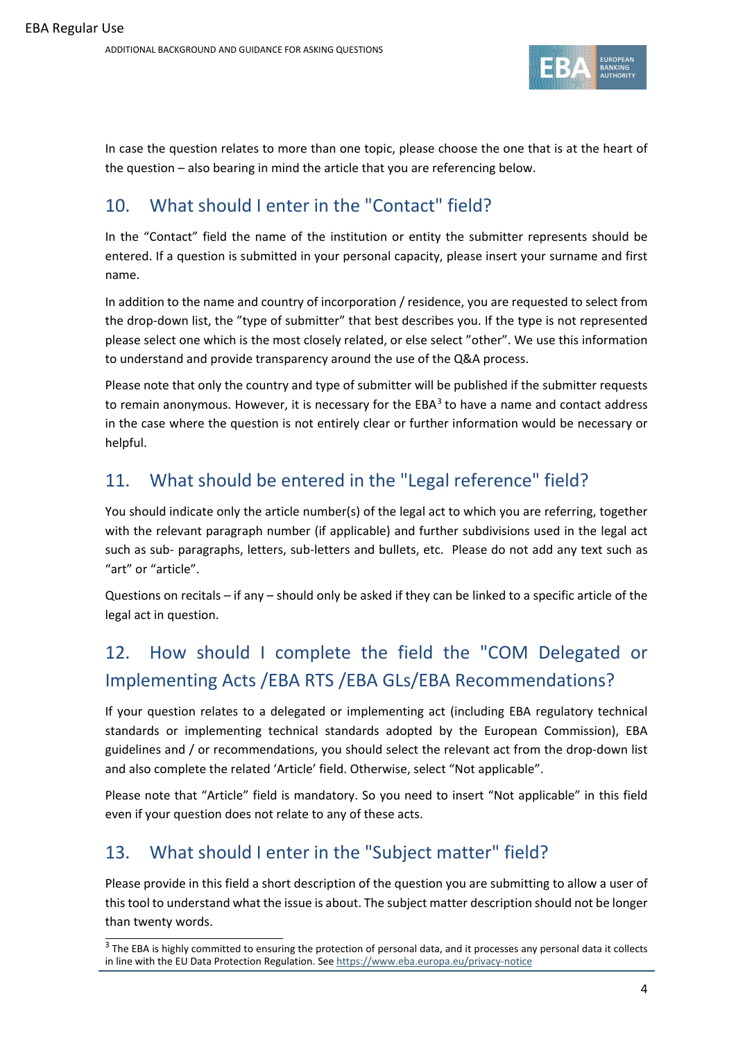

In case the question relates to more than one topic, please choose the one that is at the heart of the question – also bearing in mind the article that you are referencing below.

# 10. What should I enter in the "Contact" field?

In the "Contact" field the name of the institution or entity the submitter represents should be entered. If a question is submitted in your personal capacity, please insert your surname and first name.

In addition to the name and country of incorporation / residence, you are requested to select from the drop-down list, the "type of submitter" that best describes you. If the type is not represented please select one which is the most closely related, or else select "other". We use this information to understand and provide transparency around the use of the Q&A process.

Please note that only the country and type of submitter will be published if the submitter requests to remain anonymous. However, it is necessary for the  $EBA<sup>3</sup>$  $EBA<sup>3</sup>$  $EBA<sup>3</sup>$  to have a name and contact address in the case where the question is not entirely clear or further information would be necessary or helpful.

# 11. What should be entered in the "Legal reference" field?

You should indicate only the article number(s) of the legal act to which you are referring, together with the relevant paragraph number (if applicable) and further subdivisions used in the legal act such as sub- paragraphs, letters, sub-letters and bullets, etc. Please do not add any text such as "art" or "article".

Questions on recitals – if any – should only be asked if they can be linked to a specific article of the legal act in question.

# 12. How should I complete the field the "COM Delegated or Implementing Acts /EBA RTS /EBA GLs/EBA Recommendations?

If your question relates to a delegated or implementing act (including EBA regulatory technical standards or implementing technical standards adopted by the European Commission), EBA guidelines and / or recommendations, you should select the relevant act from the drop-down list and also complete the related 'Article' field. Otherwise, select "Not applicable".

Please note that "Article" field is mandatory. So you need to insert "Not applicable" in this field even if your question does not relate to any of these acts.

# 13. What should I enter in the "Subject matter" field?

Please provide in this field a short description of the question you are submitting to allow a user of this tool to understand what the issue is about. The subject matter description should not be longer than twenty words.

<span id="page-3-0"></span><sup>&</sup>lt;sup>3</sup> The EBA is highly committed to ensuring the protection of personal data, and it processes any personal data it collects in line with the EU Data Protection Regulation. Se[e https://www.eba.europa.eu/privacy-notice](https://www.eba.europa.eu/privacy-notice)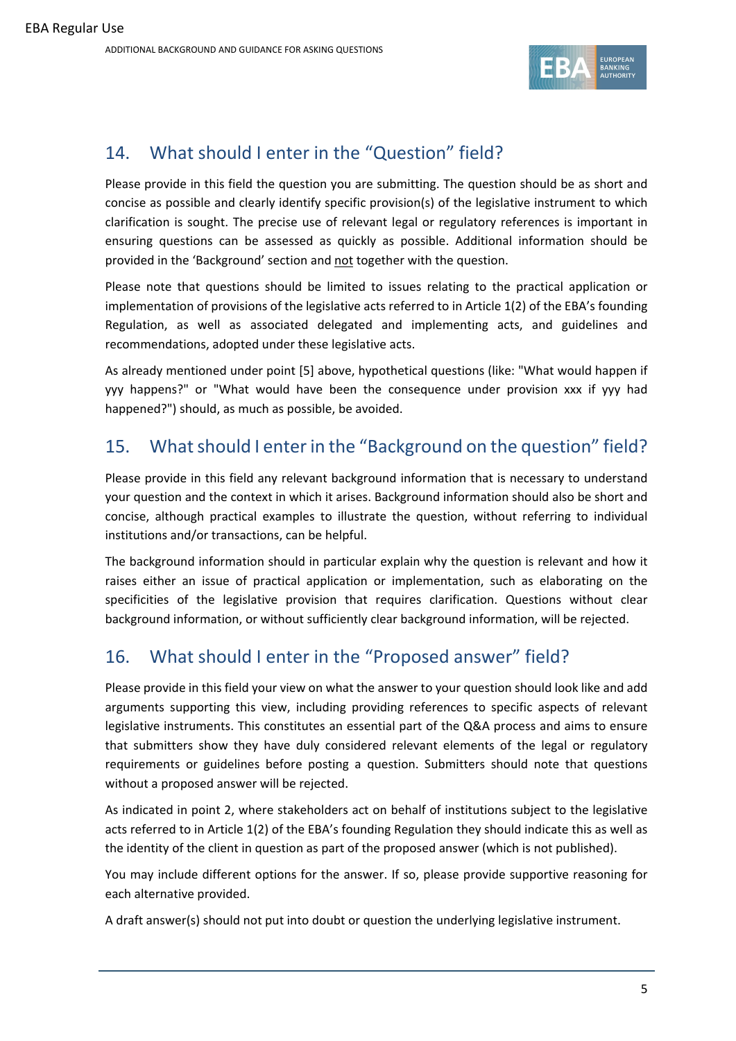

# 14. What should I enter in the "Question" field?

Please provide in this field the question you are submitting. The question should be as short and concise as possible and clearly identify specific provision(s) of the legislative instrument to which clarification is sought. The precise use of relevant legal or regulatory references is important in ensuring questions can be assessed as quickly as possible. Additional information should be provided in the 'Background' section and not together with the question.

Please note that questions should be limited to issues relating to the practical application or implementation of provisions of the legislative acts referred to in Article 1(2) of the EBA's founding Regulation, as well as associated delegated and implementing acts, and guidelines and recommendations, adopted under these legislative acts.

As already mentioned under point [5] above, hypothetical questions (like: "What would happen if yyy happens?" or "What would have been the consequence under provision xxx if yyy had happened?") should, as much as possible, be avoided.

## 15. What should I enter in the "Background on the question" field?

Please provide in this field any relevant background information that is necessary to understand your question and the context in which it arises. Background information should also be short and concise, although practical examples to illustrate the question, without referring to individual institutions and/or transactions, can be helpful.

The background information should in particular explain why the question is relevant and how it raises either an issue of practical application or implementation, such as elaborating on the specificities of the legislative provision that requires clarification. Questions without clear background information, or without sufficiently clear background information, will be rejected.

# 16. What should I enter in the "Proposed answer" field?

Please provide in this field your view on what the answer to your question should look like and add arguments supporting this view, including providing references to specific aspects of relevant legislative instruments. This constitutes an essential part of the Q&A process and aims to ensure that submitters show they have duly considered relevant elements of the legal or regulatory requirements or guidelines before posting a question. Submitters should note that questions without a proposed answer will be rejected.

As indicated in point 2, where stakeholders act on behalf of institutions subject to the legislative acts referred to in Article 1(2) of the EBA's founding Regulation they should indicate this as well as the identity of the client in question as part of the proposed answer (which is not published).

You may include different options for the answer. If so, please provide supportive reasoning for each alternative provided.

A draft answer(s) should not put into doubt or question the underlying legislative instrument.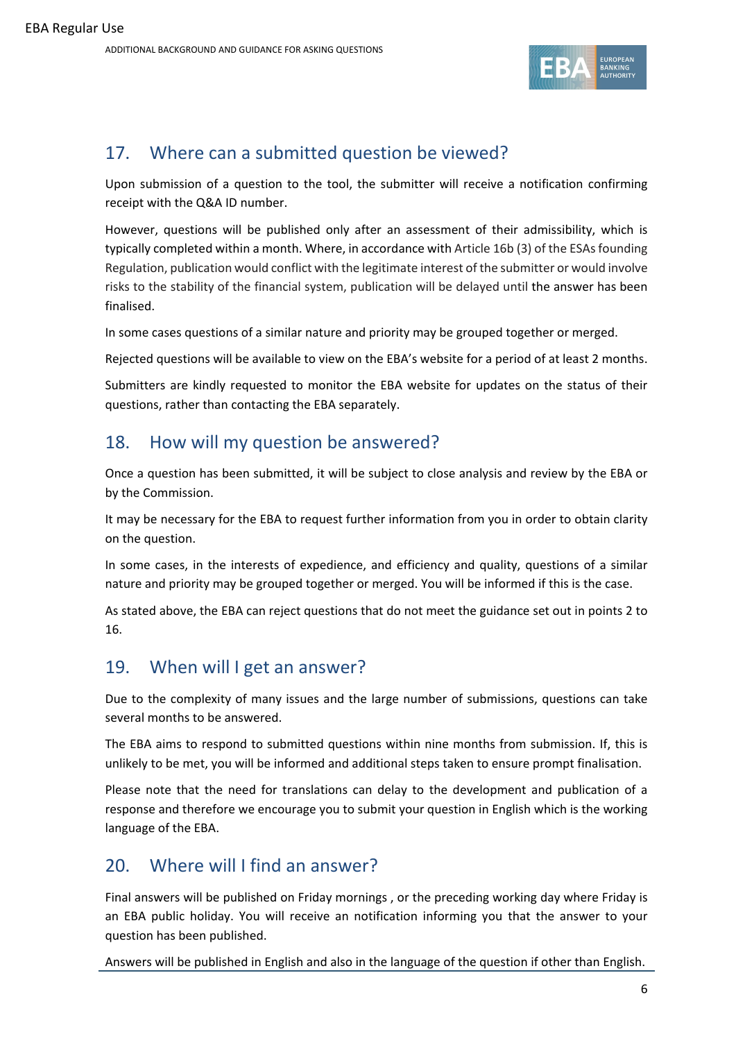

# 17. Where can a submitted question be viewed?

Upon submission of a question to the tool, the submitter will receive a notification confirming receipt with the Q&A ID number.

However, questions will be published only after an assessment of their admissibility, which is typically completed within a month. Where, in accordance with Article 16b (3) of the ESAs founding Regulation, publication would conflict with the legitimate interest of the submitter or would involve risks to the stability of the financial system, publication will be delayed until the answer has been finalised.

In some cases questions of a similar nature and priority may be grouped together or merged.

Rejected questions will be available to view on the EBA's website for a period of at least 2 months.

Submitters are kindly requested to monitor the EBA website for updates on the status of their questions, rather than contacting the EBA separately.

### 18. How will my question be answered?

Once a question has been submitted, it will be subject to close analysis and review by the EBA or by the Commission.

It may be necessary for the EBA to request further information from you in order to obtain clarity on the question.

In some cases, in the interests of expedience, and efficiency and quality, questions of a similar nature and priority may be grouped together or merged. You will be informed if this is the case.

As stated above, the EBA can reject questions that do not meet the guidance set out in points 2 to 16.

### 19. When will I get an answer?

Due to the complexity of many issues and the large number of submissions, questions can take several months to be answered.

The EBA aims to respond to submitted questions within nine months from submission. If, this is unlikely to be met, you will be informed and additional steps taken to ensure prompt finalisation.

Please note that the need for translations can delay to the development and publication of a response and therefore we encourage you to submit your question in English which is the working language of the EBA.

### 20. Where will I find an answer?

Final answers will be published on Friday mornings , or the preceding working day where Friday is an EBA public holiday. You will receive an notification informing you that the answer to your question has been published.

Answers will be published in English and also in the language of the question if other than English.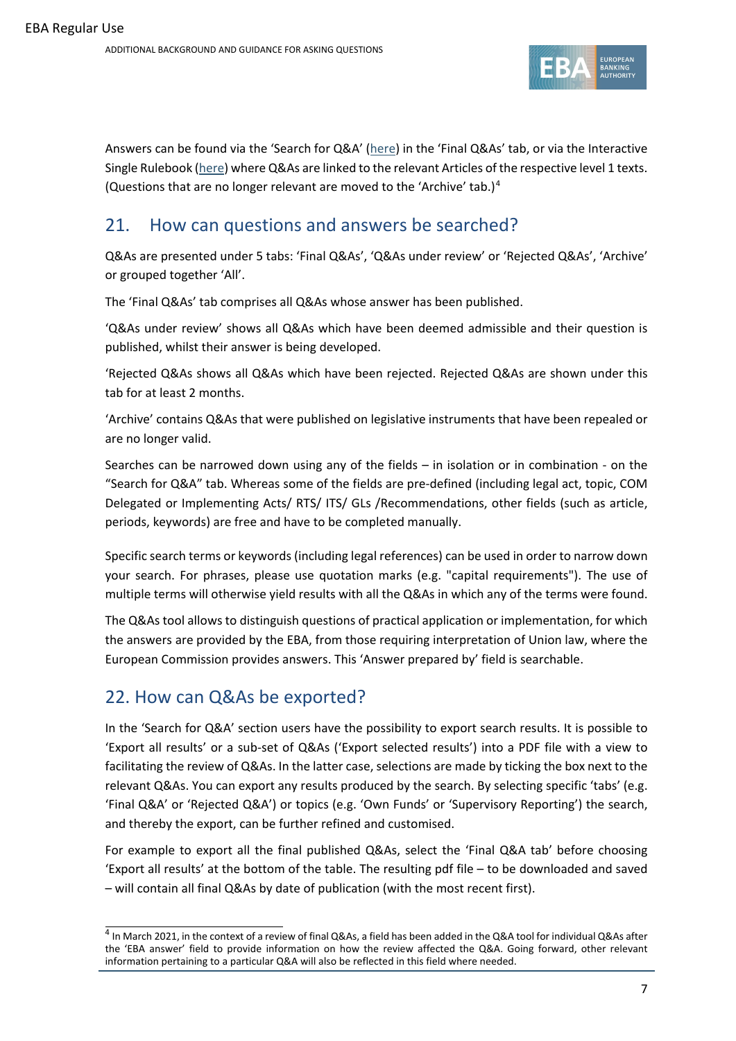

Answers can be found via the 'Search for Q&A' [\(here\)](https://eba.europa.eu/single-rule-book-qa?p_p_id=questions_and_answers_WAR_questions_and_answersportlet&p_p_lifecycle=0&p_p_state=normal&p_p_mode=view&p_p_col_id=column-1&p_p_col_pos=1&p_p_col_count=2&_questions_and_answers_WAR_questions_and_answersportlet_jspPage=%2Fhtml%2Fview.jsp&_questions_and_answers_WAR_questions_and_answersportlet_viewTab=1) in the 'Final Q&As' tab, or via the Interactive Single Rulebook [\(here\)](https://eba.europa.eu/regulation-and-policy/single-rulebook/interactive-single-rulebook) where Q&As are linked to the relevant Articles of the respective level 1 texts. (Questions that are no longer relevant are moved to the 'Archive' tab.) $4$ 

### 21. How can questions and answers be searched?

Q&As are presented under 5 tabs: 'Final Q&As', 'Q&As under review' or 'Rejected Q&As', 'Archive' or grouped together 'All'.

The 'Final Q&As' tab comprises all Q&As whose answer has been published.

'Q&As under review' shows all Q&As which have been deemed admissible and their question is published, whilst their answer is being developed.

'Rejected Q&As shows all Q&As which have been rejected. Rejected Q&As are shown under this tab for at least 2 months.

'Archive' contains Q&As that were published on legislative instruments that have been repealed or are no longer valid.

Searches can be narrowed down using any of the fields – in isolation or in combination - on the "Search for Q&A" tab. Whereas some of the fields are pre-defined (including legal act, topic, COM Delegated or Implementing Acts/ RTS/ ITS/ GLs /Recommendations, other fields (such as article, periods, keywords) are free and have to be completed manually.

Specific search terms or keywords (including legal references) can be used in order to narrow down your search. For phrases, please use quotation marks (e.g. "capital requirements"). The use of multiple terms will otherwise yield results with all the Q&As in which any of the terms were found.

The Q&As tool allows to distinguish questions of practical application or implementation, for which the answers are provided by the EBA, from those requiring interpretation of Union law, where the European Commission provides answers. This 'Answer prepared by' field is searchable.

### 22. How can Q&As be exported?

In the 'Search for Q&A' section users have the possibility to export search results. It is possible to 'Export all results' or a sub-set of Q&As ('Export selected results') into a PDF file with a view to facilitating the review of Q&As. In the latter case, selections are made by ticking the box next to the relevant Q&As. You can export any results produced by the search. By selecting specific 'tabs' (e.g. 'Final Q&A' or 'Rejected Q&A') or topics (e.g. 'Own Funds' or 'Supervisory Reporting') the search, and thereby the export, can be further refined and customised.

For example to export all the final published Q&As, select the 'Final Q&A tab' before choosing 'Export all results' at the bottom of the table. The resulting pdf file – to be downloaded and saved – will contain all final Q&As by date of publication (with the most recent first).

<span id="page-6-0"></span><sup>4</sup> In March 2021, in the context of a review of final Q&As, a field has been added in the Q&A tool for individual Q&As after the 'EBA answer' field to provide information on how the review affected the Q&A. Going forward, other relevant information pertaining to a particular Q&A will also be reflected in this field where needed.